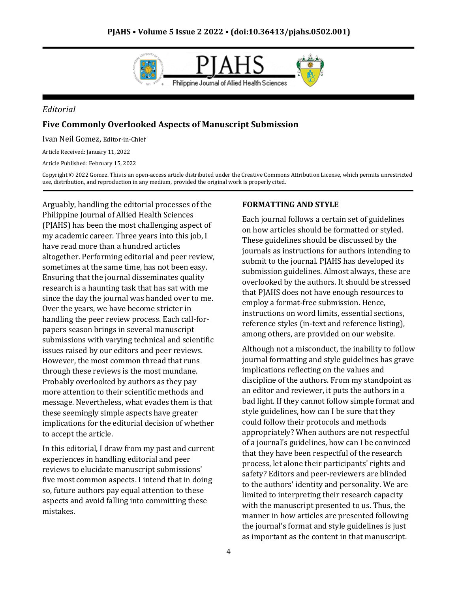

#### *Editorial*

### **Five Commonly Overlooked Aspects of Manuscript Submission**

Ivan Neil Gomez, Editor-in-Chief

Article Received: January 11, 2022

Article Published: February 15, 2022

Copyright © 2022 Gomez. This is an open-access article distributed under the Creative Commons Attribution License, which permits unrestricted use, distribution, and reproduction in any medium, provided the original work is properly cited.

Arguably, handling the editorial processes of the Philippine Journal of Allied Health Sciences (PJAHS) has been the most challenging aspect of my academic career. Three years into this job, I have read more than a hundred articles altogether. Performing editorial and peer review, sometimes at the same time, has not been easy. Ensuring that the journal disseminates quality research is a haunting task that has sat with me since the day the journal was handed over to me. Over the years, we have become stricter in handling the peer review process. Each call-forpapers season brings in several manuscript submissions with varying technical and scientific issues raised by our editors and peer reviews. However, the most common thread that runs through these reviews is the most mundane. Probably overlooked by authors as they pay more attention to their scientific methods and message. Nevertheless, what evades them is that these seemingly simple aspects have greater implications for the editorial decision of whether to accept the article.

In this editorial, I draw from my past and current experiences in handling editorial and peer reviews to elucidate manuscript submissions' five most common aspects. I intend that in doing so, future authors pay equal attention to these aspects and avoid falling into committing these mistakes.

#### **FORMATTING AND STYLE**

Each journal follows a certain set of guidelines on how articles should be formatted or styled. These guidelines should be discussed by the journals as instructions for authors intending to submit to the journal. PJAHS has developed its submission guidelines. Almost always, these are overlooked by the authors. It should be stressed that PJAHS does not have enough resources to employ a format-free submission. Hence, instructions on word limits, essential sections, reference styles (in-text and reference listing), among others, are provided on our website.

Although not a misconduct, the inability to follow journal formatting and style guidelines has grave implications reflecting on the values and discipline of the authors. From my standpoint as an editor and reviewer, it puts the authors in a bad light. If they cannot follow simple format and style guidelines, how can I be sure that they could follow their protocols and methods appropriately? When authors are not respectful of a journal's guidelines, how can I be convinced that they have been respectful of the research process, let alone their participants' rights and safety? Editors and peer-reviewers are blinded to the authors' identity and personality. We are limited to interpreting their research capacity with the manuscript presented to us. Thus, the manner in how articles are presented following the journal's format and style guidelines is just as important as the content in that manuscript.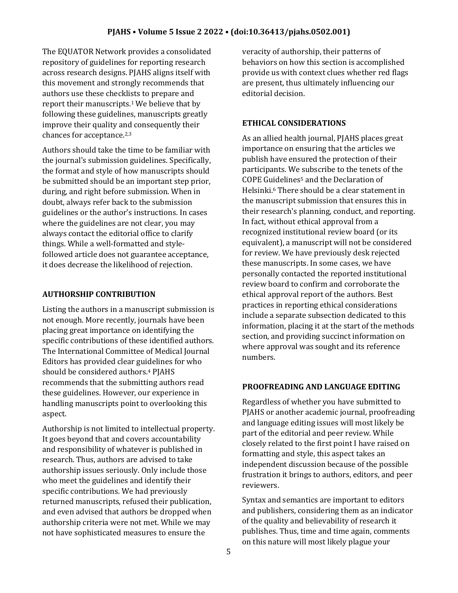The EQUATOR Network provides a consolidated repository of guidelines for reporting research across research designs. PJAHS aligns itself with this movement and strongly recommends that authors use these checklists to prepare and report their manuscripts.<sup>1</sup> We believe that by following these guidelines, manuscripts greatly improve their quality and consequently their chances for acceptance.2,3

Authors should take the time to be familiar with the journal's submission guidelines. Specifically, the format and style of how manuscripts should be submitted should be an important step prior, during, and right before submission. When in doubt, always refer back to the submission guidelines or the author's instructions. In cases where the guidelines are not clear, you may always contact the editorial office to clarify things. While a well-formatted and stylefollowed article does not guarantee acceptance, it does decrease the likelihood of rejection.

### **AUTHORSHIP CONTRIBUTION**

Listing the authors in a manuscript submission is not enough. More recently, journals have been placing great importance on identifying the specific contributions of these identified authors. The International Committee of Medical Journal Editors has provided clear guidelines for who should be considered authors.<sup>4</sup> PJAHS recommends that the submitting authors read these guidelines. However, our experience in handling manuscripts point to overlooking this aspect.

Authorship is not limited to intellectual property. It goes beyond that and covers accountability and responsibility of whatever is published in research. Thus, authors are advised to take authorship issues seriously. Only include those who meet the guidelines and identify their specific contributions. We had previously returned manuscripts, refused their publication, and even advised that authors be dropped when authorship criteria were not met. While we may not have sophisticated measures to ensure the

veracity of authorship, their patterns of behaviors on how this section is accomplished provide us with context clues whether red flags are present, thus ultimately influencing our editorial decision.

## **ETHICAL CONSIDERATIONS**

As an allied health journal, PJAHS places great importance on ensuring that the articles we publish have ensured the protection of their participants. We subscribe to the tenets of the COPE Guidelines<sup>5</sup> and the Declaration of Helsinki.<sup>6</sup> There should be a clear statement in the manuscript submission that ensures this in their research's planning, conduct, and reporting. In fact, without ethical approval from a recognized institutional review board (or its equivalent), a manuscript will not be considered for review. We have previously desk rejected these manuscripts. In some cases, we have personally contacted the reported institutional review board to confirm and corroborate the ethical approval report of the authors. Best practices in reporting ethical considerations include a separate subsection dedicated to this information, placing it at the start of the methods section, and providing succinct information on where approval was sought and its reference numbers.

# **PROOFREADING AND LANGUAGE EDITING**

Regardless of whether you have submitted to PJAHS or another academic journal, proofreading and language editing issues will most likely be part of the editorial and peer review. While closely related to the first point I have raised on formatting and style, this aspect takes an independent discussion because of the possible frustration it brings to authors, editors, and peer reviewers.

Syntax and semantics are important to editors and publishers, considering them as an indicator of the quality and believability of research it publishes. Thus, time and time again, comments on this nature will most likely plague your